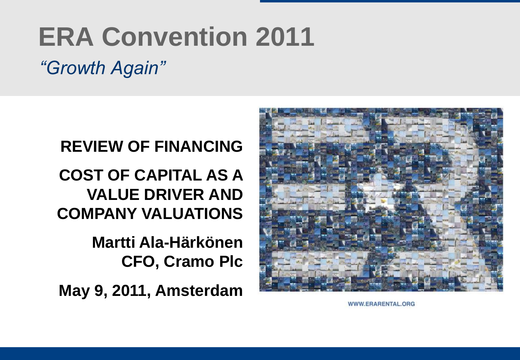# **ERA Convention 2011**

*"Growth Again"*

#### **REVIEW OF FINANCING**

**COST OF CAPITAL AS A VALUE DRIVER AND COMPANY VALUATIONS**

> **Martti Ala-Härkönen CFO, Cramo Plc**

**May 9, 2011, Amsterdam**



WWW.ERARENTAL.ORG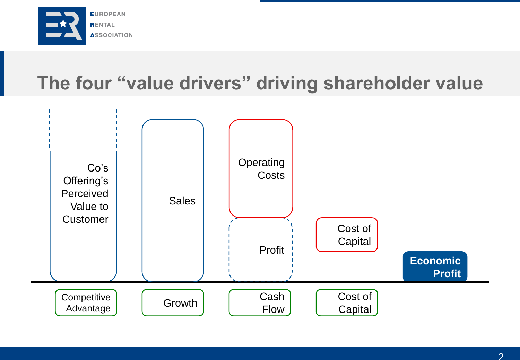

## **The four "value drivers" driving shareholder value**

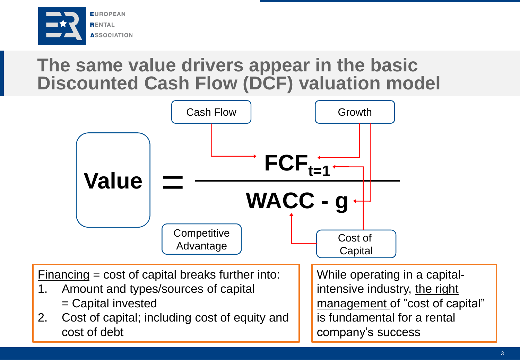

#### **The same value drivers appear in the basic Discounted Cash Flow (DCF) valuation model**



company's success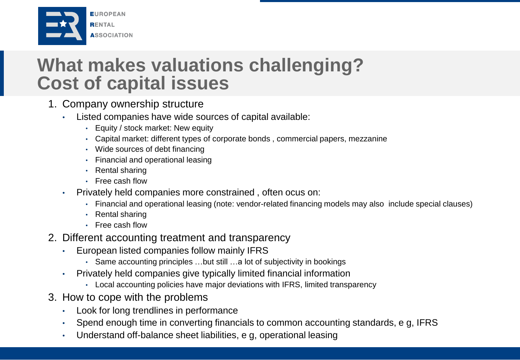

#### **What makes valuations challenging? Cost of capital issues**

- 1. Company ownership structure
	- Listed companies have wide sources of capital available:
		- Equity / stock market: New equity
		- Capital market: different types of corporate bonds , commercial papers, mezzanine
		- Wide sources of debt financing
		- Financial and operational leasing
		- Rental sharing
		- Free cash flow
	- Privately held companies more constrained , often ocus on:
		- Financial and operational leasing (note: vendor-related financing models may also include special clauses)
		- Rental sharing
		- Free cash flow
- 2. Different accounting treatment and transparency
	- European listed companies follow mainly IFRS
		- Same accounting principles …but still …a lot of subjectivity in bookings
	- Privately held companies give typically limited financial information
		- Local accounting policies have major deviations with IFRS, limited transparency
- 3. How to cope with the problems
	- Look for long trendlines in performance
	- Spend enough time in converting financials to common accounting standards, e g, IFRS
	- Understand off-balance sheet liabilities, e g, operational leasing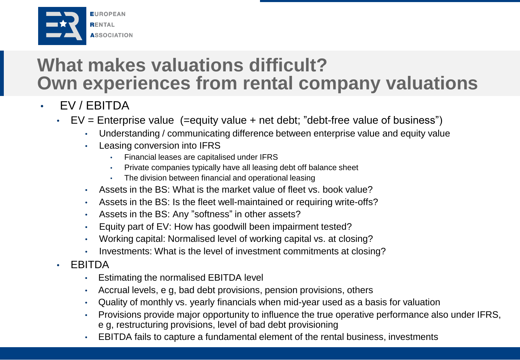

### **What makes valuations difficult? Own experiences from rental company valuations**

- EV / EBITDA
	- EV = Enterprise value (=equity value + net debt; "debt-free value of business")
		- Understanding / communicating difference between enterprise value and equity value
		- Leasing conversion into IFRS
			- Financial leases are capitalised under IFRS
			- Private companies typically have all leasing debt off balance sheet
			- The division between financial and operational leasing
		- Assets in the BS: What is the market value of fleet vs. book value?
		- Assets in the BS: Is the fleet well-maintained or requiring write-offs?
		- Assets in the BS: Any "softness" in other assets?
		- Equity part of EV: How has goodwill been impairment tested?
		- Working capital: Normalised level of working capital vs. at closing?
		- Investments: What is the level of investment commitments at closing?
	- EBITDA
		- Estimating the normalised EBITDA level
		- Accrual levels, e g, bad debt provisions, pension provisions, others
		- Quality of monthly vs. yearly financials when mid-year used as a basis for valuation
		- Provisions provide major opportunity to influence the true operative performance also under IFRS, e g, restructuring provisions, level of bad debt provisioning
		- EBITDA fails to capture a fundamental element of the rental business, investments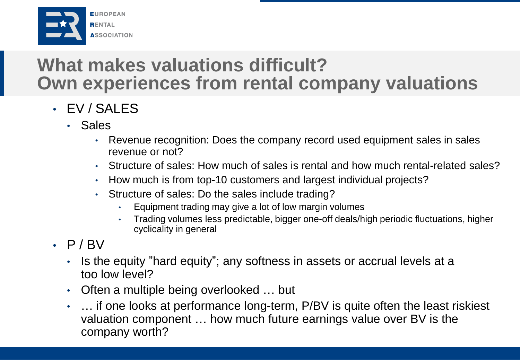

### **What makes valuations difficult? Own experiences from rental company valuations**

- EV / SALES
	- Sales
		- Revenue recognition: Does the company record used equipment sales in sales revenue or not?
		- Structure of sales: How much of sales is rental and how much rental-related sales?
		- How much is from top-10 customers and largest individual projects?
		- Structure of sales: Do the sales include trading?
			- Equipment trading may give a lot of low margin volumes
			- Trading volumes less predictable, bigger one-off deals/high periodic fluctuations, higher cyclicality in general
- $\cdot$  P/BV
	- Is the equity "hard equity"; any softness in assets or accrual levels at a too low level?
	- Often a multiple being overlooked ... but
	- ... if one looks at performance long-term, P/BV is quite often the least riskiest valuation component … how much future earnings value over BV is the company worth?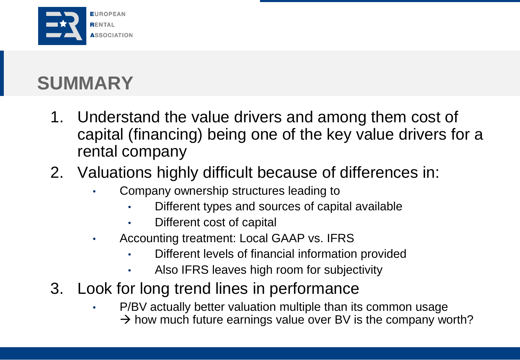

# **SUMMARY**

- 1. Understand the value drivers and among them cost of capital (financing) being one of the key value drivers for a rental company
- 2. Valuations highly difficult because of differences in:
	- Company ownership structures leading to
		- Different types and sources of capital available
		- Different cost of capital
	- Accounting treatment: Local GAAP vs. IFRS
		- Different levels of financial information provided
		- Also IFRS leaves high room for subjectivity
- 3. Look for long trend lines in performance
	- P/BV actually better valuation multiple than its common usage  $\rightarrow$  how much future earnings value over BV is the company worth?